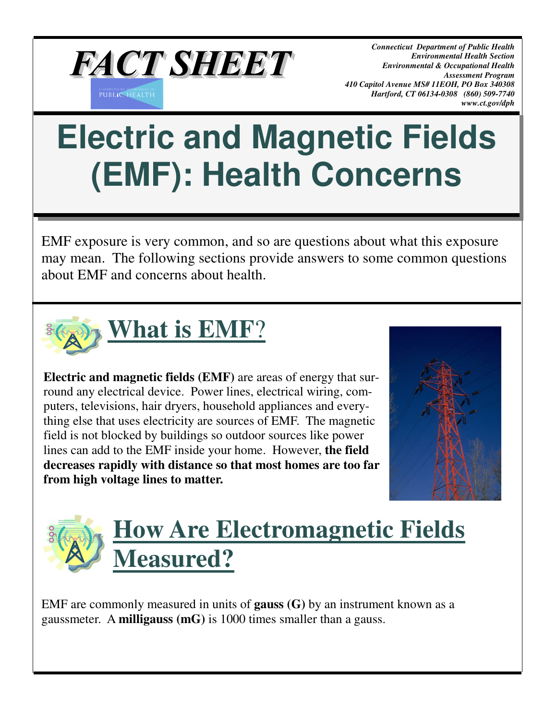

*Connecticut Department of Public Health Environmental Health Section Environmental & Occupational Health Assessment Program 410 Capitol Avenue MS# 11EOH, PO Box 340308 Hartford, CT 06134-0308 (860) 509-7740 www.ct.gov/dph*

# **Electric and Magnetic Fields (EMF): Health Concerns**

EMF exposure is very common, and so are questions about what this exposure may mean. The following sections provide answers to some common questions about EMF and concerns about health.



**Electric and magnetic fields (EMF)** are areas of energy that surround any electrical device. Power lines, electrical wiring, computers, televisions, hair dryers, household appliances and everything else that uses electricity are sources of EMF. The magnetic field is not blocked by buildings so outdoor sources like power lines can add to the EMF inside your home. However, **the field decreases rapidly with distance so that most homes are too far from high voltage lines to matter.** 





EMF are commonly measured in units of **gauss (G)** by an instrument known as a gaussmeter. A **milligauss (mG)** is 1000 times smaller than a gauss.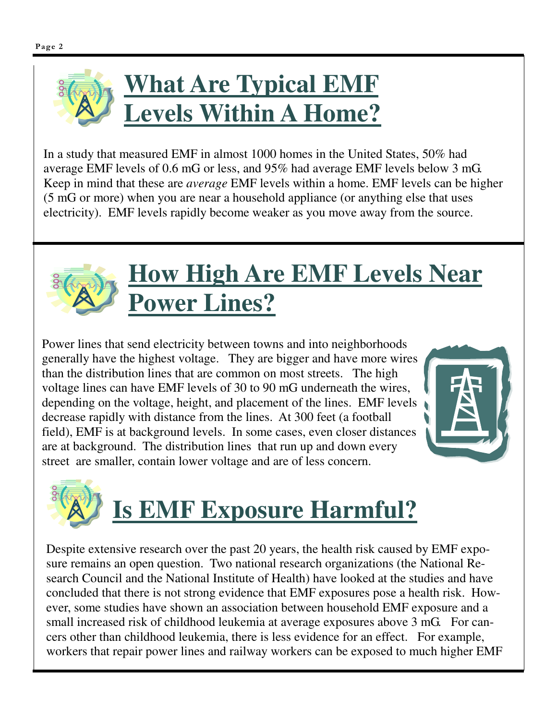

In a study that measured EMF in almost 1000 homes in the United States, 50% had average EMF levels of 0.6 mG or less, and 95% had average EMF levels below 3 mG. Keep in mind that these are *average* EMF levels within a home. EMF levels can be higher (5 mG or more) when you are near a household appliance (or anything else that uses electricity). EMF levels rapidly become weaker as you move away from the source.



#### **How High Are EMF Levels Near Power Lines?**

Power lines that send electricity between towns and into neighborhoods generally have the highest voltage. They are bigger and have more wires than the distribution lines that are common on most streets. The high voltage lines can have EMF levels of 30 to 90 mG underneath the wires, depending on the voltage, height, and placement of the lines. EMF levels decrease rapidly with distance from the lines. At 300 feet (a football field), EMF is at background levels. In some cases, even closer distances are at background. The distribution lines that run up and down every street are smaller, contain lower voltage and are of less concern.





Despite extensive research over the past 20 years, the health risk caused by EMF exposure remains an open question. Two national research organizations (the National Research Council and the National Institute of Health) have looked at the studies and have concluded that there is not strong evidence that EMF exposures pose a health risk. However, some studies have shown an association between household EMF exposure and a small increased risk of childhood leukemia at average exposures above 3 mG. For cancers other than childhood leukemia, there is less evidence for an effect. For example, workers that repair power lines and railway workers can be exposed to much higher EMF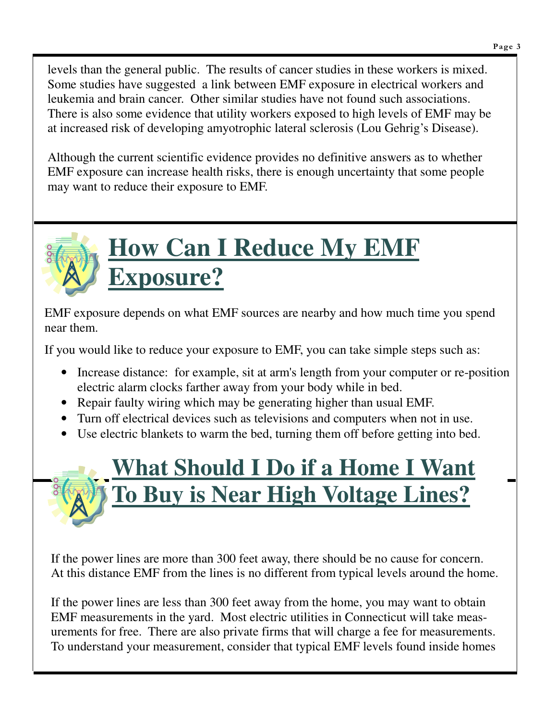Page 3

levels than the general public. The results of cancer studies in these workers is mixed. Some studies have suggested a link between EMF exposure in electrical workers and leukemia and brain cancer. Other similar studies have not found such associations. There is also some evidence that utility workers exposed to high levels of EMF may be at increased risk of developing amyotrophic lateral sclerosis (Lou Gehrig's Disease).

Although the current scientific evidence provides no definitive answers as to whether EMF exposure can increase health risks, there is enough uncertainty that some people may want to reduce their exposure to EMF.



### **How Can I Reduce My EMF Exposure?**

EMF exposure depends on what EMF sources are nearby and how much time you spend near them.

If you would like to reduce your exposure to EMF, you can take simple steps such as:

- Increase distance: for example, sit at arm's length from your computer or re-position electric alarm clocks farther away from your body while in bed.
- Repair faulty wiring which may be generating higher than usual EMF.
- Turn off electrical devices such as televisions and computers when not in use.
- Use electric blankets to warm the bed, turning them off before getting into bed.

## **What Should I Do if a Home I Want To Buy is Near High Voltage Lines?**

If the power lines are more than 300 feet away, there should be no cause for concern. At this distance EMF from the lines is no different from typical levels around the home.

If the power lines are less than 300 feet away from the home, you may want to obtain EMF measurements in the yard. Most electric utilities in Connecticut will take measurements for free. There are also private firms that will charge a fee for measurements. To understand your measurement, consider that typical EMF levels found inside homes